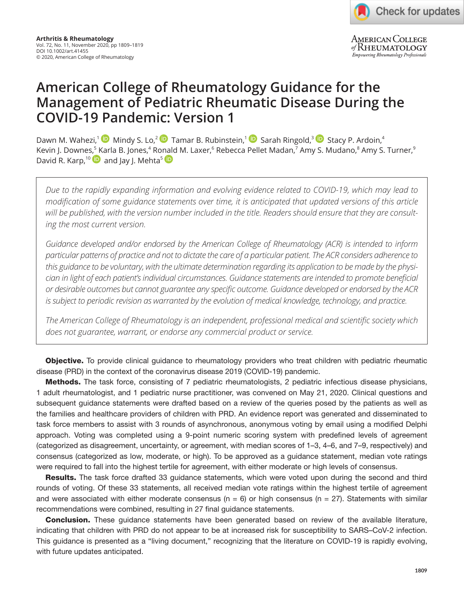AMERICAN COLLEGE of RHEUMATOLOGY Empowering Rheumatology Professionals

# **American College of Rheumatology Guidance for the Management of Pediatric Rheumatic Disease During the COVID-19 Pandemic: Version 1**

DawnM. Wahezi,<sup>[1](https://orcid.org/0000-0001-8170-9377)</sup> Mindy S. Lo,<sup>2</sup> D Tamar B. Rubinstein,<sup>1</sup> D Sarah Ringold,<sup>3</sup> D Stacy P. Ardoin,<sup>4</sup> Kevin J. Downes,<sup>5</sup> [K](https://orcid.org/0000-0002-9005-1690)arla B. Jones,<sup>4</sup> Ro[nald](https://orcid.org/0000-0003-1739-9639) M. Laxer,<sup>6</sup> Rebecca Pellet Madan,<sup>7</sup> Amy S. Mudano,<sup>8</sup> Amy S. Turner,<sup>9</sup> David R. Karp,<sup>10</sup> and Jay J. Mehta<sup>5</sup>

*Due to the rapidly expanding information and evolving evidence related to COVID-19, which may lead to modification of some guidance statements over time, it is anticipated that updated versions of this article will be published, with the version number included in the title. Readers should ensure that they are consulting the most current version.*

*Guidance developed and/or endorsed by the American College of Rheumatology (ACR) is intended to inform particular patterns of practice and not to dictate the care of a particular patient. The ACR considers adherence to this guidance to be voluntary, with the ultimate determination regarding its application to be made by the physician in light of each patient's individual circumstances. Guidance statements are intended to promote beneficial or desirable outcomes but cannot guarantee any specific outcome. Guidance developed or endorsed by the ACR is subject to periodic revision as warranted by the evolution of medical knowledge, technology, and practice.*

*The American College of Rheumatology is an independent, professional medical and scientific society which does not guarantee, warrant, or endorse any commercial product or service.*

**Objective.** To provide clinical guidance to rheumatology providers who treat children with pediatric rheumatic disease (PRD) in the context of the coronavirus disease 2019 (COVID-19) pandemic.

Methods. The task force, consisting of 7 pediatric rheumatologists, 2 pediatric infectious disease physicians, 1 adult rheumatologist, and 1 pediatric nurse practitioner, was convened on May 21, 2020. Clinical questions and subsequent guidance statements were drafted based on a review of the queries posed by the patients as well as the families and healthcare providers of children with PRD. An evidence report was generated and disseminated to task force members to assist with 3 rounds of asynchronous, anonymous voting by email using a modified Delphi approach. Voting was completed using a 9-point numeric scoring system with predefined levels of agreement (categorized as disagreement, uncertainty, or agreement, with median scores of 1–3, 4–6, and 7–9, respectively) and consensus (categorized as low, moderate, or high). To be approved as a guidance statement, median vote ratings were required to fall into the highest tertile for agreement, with either moderate or high levels of consensus.

**Results.** The task force drafted 33 guidance statements, which were voted upon during the second and third rounds of voting. Of these 33 statements, all received median vote ratings within the highest tertile of agreement and were associated with either moderate consensus ( $n = 6$ ) or high consensus ( $n = 27$ ). Statements with similar recommendations were combined, resulting in 27 final guidance statements.

**Conclusion.** These guidance statements have been generated based on review of the available literature, indicating that children with PRD do not appear to be at increased risk for susceptibility to SARS–CoV-2 infection. This guidance is presented as a "living document," recognizing that the literature on COVID-19 is rapidly evolving, with future updates anticipated.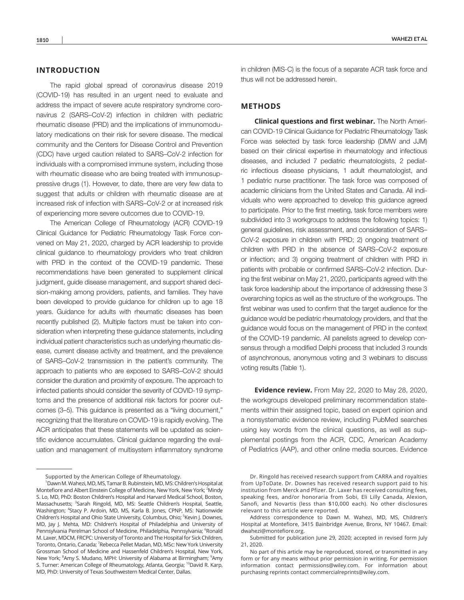# **INTRODUCTION**

The rapid global spread of coronavirus disease 2019 (COVID-19) has resulted in an urgent need to evaluate and address the impact of severe acute respiratory syndrome coronavirus 2 (SARS–CoV-2) infection in children with pediatric rheumatic disease (PRD) and the implications of immunomodulatory medications on their risk for severe disease. The medical community and the Centers for Disease Control and Prevention (CDC) have urged caution related to SARS–CoV-2 infection for individuals with a compromised immune system, including those with rheumatic disease who are being treated with immunosuppressive drugs (1). However, to date, there are very few data to suggest that adults or children with rheumatic disease are at increased risk of infection with SARS–CoV-2 or at increased risk of experiencing more severe outcomes due to COVID-19.

The American College of Rheumatology (ACR) COVID-19 Clinical Guidance for Pediatric Rheumatology Task Force convened on May 21, 2020, charged by ACR leadership to provide clinical guidance to rheumatology providers who treat children with PRD in the context of the COVID-19 pandemic. These recommendations have been generated to supplement clinical judgment, guide disease management, and support shared decision-making among providers, patients, and families. They have been developed to provide guidance for children up to age 18 years. Guidance for adults with rheumatic diseases has been recently published (2). Multiple factors must be taken into consideration when interpreting these guidance statements, including individual patient characteristics such as underlying rheumatic disease, current disease activity and treatment, and the prevalence of SARS–CoV-2 transmission in the patient's community. The approach to patients who are exposed to SARS–CoV-2 should consider the duration and proximity of exposure. The approach to infected patients should consider the severity of COVID-19 symptoms and the presence of additional risk factors for poorer outcomes (3–5). This guidance is presented as a "living document," recognizing that the literature on COVID-19 is rapidly evolving. The ACR anticipates that these statements will be updated as scientific evidence accumulates. Clinical guidance regarding the evaluation and management of multisystem inflammatory syndrome

in children (MIS-C) is the focus of a separate ACR task force and thus will not be addressed herein.

# **METHODS**

**Clinical questions and first webinar.** The North American COVID-19 Clinical Guidance for Pediatric Rheumatology Task Force was selected by task force leadership (DMW and JJM) based on their clinical expertise in rheumatology and infectious diseases, and included 7 pediatric rheumatologists, 2 pediatric infectious disease physicians, 1 adult rheumatologist, and 1 pediatric nurse practitioner. The task force was composed of academic clinicians from the United States and Canada. All individuals who were approached to develop this guidance agreed to participate. Prior to the first meeting, task force members were subdivided into 3 workgroups to address the following topics: 1) general guidelines, risk assessment, and consideration of SARS– CoV-2 exposure in children with PRD; 2) ongoing treatment of children with PRD in the absence of SARS–CoV-2 exposure or infection; and 3) ongoing treatment of children with PRD in patients with probable or confirmed SARS–CoV-2 infection. During the first webinar on May 21, 2020, participants agreed with the task force leadership about the importance of addressing these 3 overarching topics as well as the structure of the workgroups. The first webinar was used to confirm that the target audience for the guidance would be pediatric rheumatology providers, and that the guidance would focus on the management of PRD in the context of the COVID-19 pandemic. All panelists agreed to develop consensus through a modified Delphi process that included 3 rounds of asynchronous, anonymous voting and 3 webinars to discuss voting results (Table 1).

**Evidence review.** From May 22, 2020 to May 28, 2020, the workgroups developed preliminary recommendation statements within their assigned topic, based on expert opinion and a nonsystematic evidence review, including PubMed searches using key words from the clinical questions, as well as supplemental postings from the ACR, CDC, American Academy of Pediatrics (AAP), and other online media sources. Evidence

Address correspondence to Dawn M. Wahezi, MD, MS, Children's Hospital at Montefiore, 3415 Bainbridge Avenue, Bronx, NY 10467. Email: [dwahezi@montefiore.org.](mailto:dwahezi@montefiore.org)

Submitted for publication June 29, 2020; accepted in revised form July 21, 2020.

Supported by the American College of Rheumatology.

<sup>1</sup> Dawn M. Wahezi, MD, MS, Tamar B. Rubinstein, MD, MS: Children's Hospital at Montefiore and Albert Einstein College of Medicine, New York, New York; <sup>2</sup>Mindy S. Lo, MD, PhD: Boston Children's Hospital and Harvard Medical School, Boston, Massachusetts; <sup>3</sup>Sarah Ringold, MD, MS: Seattle Children's Hospital, Seattle, Washington; <sup>4</sup>Stacy P. Ardoin, MD, MS, Karla B. Jones, CPNP, MS: Nationwide Children's Hospital and Ohio State University, Columbus, Ohio; <sup>5</sup>Kevin J. Downes, MD, Jay J. Mehta, MD: Children's Hospital of Philadelphia and University of Pennsylvania Perelman School of Medicine, Philadelphia, Pennsylvania; <sup>6</sup>Ronald M. Laxer, MDCM, FRCPC: University of Toronto and The Hospital for Sick Children, Toronto, Ontario, Canada; <sup>7</sup>Rebecca Pellet Madan, MD, MSc: New York University Grossman School of Medicine and Hassenfeld Children's Hospital, New York, New York; <sup>8</sup>Amy S. Mudano, MPH: University of Alabama at Birmingham; <sup>9</sup>Amy S. Turner: American College of Rheumatology, Atlanta, Georgia; <sup>10</sup>David R. Karp, MD, PhD: University of Texas Southwestern Medical Center, Dallas.

Dr. Ringold has received research support from CARRA and royalties from UpToDate. Dr. Downes has received research support paid to his institution from Merck and Pfizer. Dr. Laxer has received consulting fees, speaking fees, and/or honoraria from Sobi, Eli Lilly Canada, Alexion, Sanofi, and Novartis (less than \$10,000 each). No other disclosures relevant to this article were reported.

No part of this article may be reproduced, stored, or transmitted in any form or for any means without prior permission in writing. For permission information contact permissions@wiley.com. For information about purchasing reprints contact commercialreprints@wiley.com.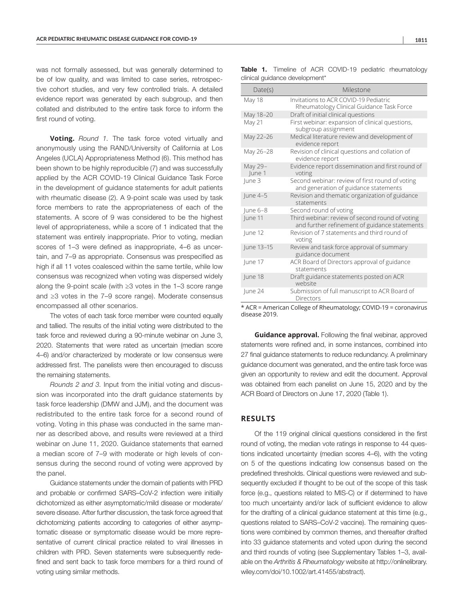was not formally assessed, but was generally determined to be of low quality, and was limited to case series, retrospective cohort studies, and very few controlled trials. A detailed evidence report was generated by each subgroup, and then collated and distributed to the entire task force to inform the first round of voting.

**Voting.** *Round 1.* The task force voted virtually and anonymously using the RAND/University of California at Los Angeles (UCLA) Appropriateness Method (6). This method has been shown to be highly reproducible (7) and was successfully applied by the ACR COVID-19 Clinical Guidance Task Force in the development of guidance statements for adult patients with rheumatic disease (2). A 9-point scale was used by task force members to rate the appropriateness of each of the statements. A score of 9 was considered to be the highest level of appropriateness, while a score of 1 indicated that the statement was entirely inappropriate. Prior to voting, median scores of 1–3 were defined as inappropriate, 4–6 as uncertain, and 7–9 as appropriate. Consensus was prespecified as high if all 11 votes coalesced within the same tertile, while low consensus was recognized when voting was dispersed widely along the 9-point scale (with ≥3 votes in the 1–3 score range and ≥3 votes in the 7–9 score range). Moderate consensus encompassed all other scenarios.

The votes of each task force member were counted equally and tallied. The results of the initial voting were distributed to the task force and reviewed during a 90-minute webinar on June 3, 2020. Statements that were rated as uncertain (median score 4–6) and/or characterized by moderate or low consensus were addressed first. The panelists were then encouraged to discuss the remaining statements.

*Rounds 2 and 3.* Input from the initial voting and discussion was incorporated into the draft guidance statements by task force leadership (DMW and JJM), and the document was redistributed to the entire task force for a second round of voting. Voting in this phase was conducted in the same manner as described above, and results were reviewed at a third webinar on June 11, 2020. Guidance statements that earned a median score of 7–9 with moderate or high levels of consensus during the second round of voting were approved by the panel.

Guidance statements under the domain of patients with PRD and probable or confirmed SARS–CoV-2 infection were initially dichotomized as either asymptomatic/mild disease or moderate/ severe disease. After further discussion, the task force agreed that dichotomizing patients according to categories of either asymptomatic disease or symptomatic disease would be more representative of current clinical practice related to viral illnesses in children with PRD. Seven statements were subsequently redefined and sent back to task force members for a third round of voting using similar methods.

| ×<br>۰, |  |
|---------|--|

| Date(s)           | Milestone                                                                                        |
|-------------------|--------------------------------------------------------------------------------------------------|
| <b>May 18</b>     | Invitations to ACR COVID-19 Pediatric<br>Rheumatology Clinical Guidance Task Force               |
| May 18-20         | Draft of initial clinical questions                                                              |
| May 21            | First webinar: expansion of clinical questions,<br>subgroup assignment                           |
| May 22-26         | Medical literature review and development of<br>evidence report                                  |
| May 26-28         | Revision of clinical questions and collation of<br>evidence report                               |
| May 29-<br>June 1 | Evidence report dissemination and first round of<br>voting                                       |
| June 3            | Second webinar: review of first round of voting<br>and generation of guidance statements         |
| $ une 4-5$        | Revision and thematic organization of guidance<br>statements                                     |
| $ $ une 6-8       | Second round of voting                                                                           |
| June 11           | Third webinar: review of second round of voting<br>and further refinement of guidance statements |
| June 12           | Revision of 7 statements and third round of<br>voting                                            |
| June 13-15        | Review and task force approval of summary<br>guidance document                                   |
| lune 17           | ACR Board of Directors approval of guidance<br>statements                                        |
| June 18           | Draft guidance statements posted on ACR<br>website                                               |
| lune 24           | Submission of full manuscript to ACR Board of<br>Directors                                       |

Table 1. Timeline of ACR COVID-19 pediatric rheumatology clinical guidance development\*

\* ACR = American College of Rheumatology; COVID-19 = coronavirus disease 2019.

**Guidance approval.** Following the final webinar, approved statements were refined and, in some instances, combined into 27 final guidance statements to reduce redundancy. A preliminary guidance document was generated, and the entire task force was given an opportunity to review and edit the document. Approval was obtained from each panelist on June 15, 2020 and by the ACR Board of Directors on June 17, 2020 (Table 1).

### **RESULTS**

Of the 119 original clinical questions considered in the first round of voting, the median vote ratings in response to 44 questions indicated uncertainty (median scores 4–6), with the voting on 5 of the questions indicating low consensus based on the predefined thresholds. Clinical questions were reviewed and subsequently excluded if thought to be out of the scope of this task force (e.g., questions related to MIS-C) or if determined to have too much uncertainty and/or lack of sufficient evidence to allow for the drafting of a clinical guidance statement at this time (e.g., questions related to SARS–CoV-2 vaccine). The remaining questions were combined by common themes, and thereafter drafted into 33 guidance statements and voted upon during the second and third rounds of voting (see Supplementary Tables 1–3, available on the *Arthritis & Rheumatology* website at [http://onlinelibrary.](http://onlinelibrary.wiley.com/doi/10.1002/art.41455/abstract) [wiley.com/doi/10.1002/art.41455/abstract\)](http://onlinelibrary.wiley.com/doi/10.1002/art.41455/abstract).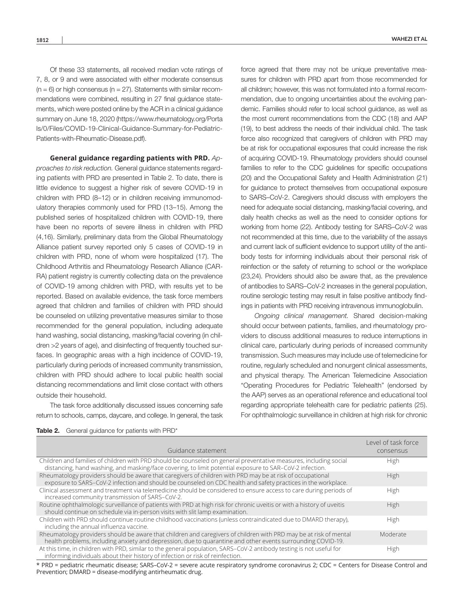Of these 33 statements, all received median vote ratings of 7, 8, or 9 and were associated with either moderate consensus  $(n = 6)$  or high consensus (n = 27). Statements with similar recommendations were combined, resulting in 27 final guidance statements, which were posted online by the ACR in a clinical guidance summary on June 18, 2020 ([https://www.rheumatology.org/Porta](https://www.rheumatology.org/Portals/0/Files/COVID-19-Clinical-Guidance-Summary-for-Pediatric-Patients-with-Rheumatic-Disease.pdf) [ls/0/Files/COVID-19-Clinical-Guidance-Summary-for-Pediatric-](https://www.rheumatology.org/Portals/0/Files/COVID-19-Clinical-Guidance-Summary-for-Pediatric-Patients-with-Rheumatic-Disease.pdf)[Patients-with-Rheumatic-Disease.pdf](https://www.rheumatology.org/Portals/0/Files/COVID-19-Clinical-Guidance-Summary-for-Pediatric-Patients-with-Rheumatic-Disease.pdf)).

**General guidance regarding patients with PRD.** *Approaches to risk reduction.* General guidance statements regarding patients with PRD are presented in Table 2. To date, there is little evidence to suggest a higher risk of severe COVID-19 in children with PRD (8–12) or in children receiving immunomodulatory therapies commonly used for PRD (13–15). Among the published series of hospitalized children with COVID-19, there have been no reports of severe illness in children with PRD (4,16). Similarly, preliminary data from the Global Rheumatology Alliance patient survey reported only 5 cases of COVID-19 in children with PRD, none of whom were hospitalized (17). The Childhood Arthritis and Rheumatology Research Alliance (CAR-RA) patient registry is currently collecting data on the prevalence of COVID-19 among children with PRD, with results yet to be reported. Based on available evidence, the task force members agreed that children and families of children with PRD should be counseled on utilizing preventative measures similar to those recommended for the general population, including adequate hand washing, social distancing, masking/facial covering (in children >2 years of age), and disinfecting of frequently touched surfaces. In geographic areas with a high incidence of COVID-19, particularly during periods of increased community transmission, children with PRD should adhere to local public health social distancing recommendations and limit close contact with others outside their household.

The task force additionally discussed issues concerning safe return to schools, camps, daycare, and college. In general, the task

force agreed that there may not be unique preventative measures for children with PRD apart from those recommended for all children; however, this was not formulated into a formal recommendation, due to ongoing uncertainties about the evolving pandemic. Families should refer to local school guidance, as well as the most current recommendations from the CDC (18) and AAP (19), to best address the needs of their individual child. The task force also recognized that caregivers of children with PRD may be at risk for occupational exposures that could increase the risk of acquiring COVID-19. Rheumatology providers should counsel families to refer to the CDC guidelines for specific occupations (20) and the Occupational Safety and Health Administration (21) for guidance to protect themselves from occupational exposure to SARS–CoV-2. Caregivers should discuss with employers the need for adequate social distancing, masking/facial covering, and daily health checks as well as the need to consider options for working from home (22). Antibody testing for SARS–CoV-2 was not recommended at this time, due to the variability of the assays and current lack of sufficient evidence to support utility of the antibody tests for informing individuals about their personal risk of reinfection or the safety of returning to school or the workplace (23,24). Providers should also be aware that, as the prevalence of antibodies to SARS–CoV-2 increases in the general population, routine serologic testing may result in false positive antibody findings in patients with PRD receiving intravenous immunoglobulin.

*Ongoing clinical management.* Shared decision-making should occur between patients, families, and rheumatology providers to discuss additional measures to reduce interruptions in clinical care, particularly during periods of increased community transmission. Such measures may include use of telemedicine for routine, regularly scheduled and nonurgent clinical assessments, and physical therapy. The American Telemedicine Association "Operating Procedures for Pediatric Telehealth" (endorsed by the AAP) serves as an operational reference and educational tool regarding appropriate telehealth care for pediatric patients (25). For ophthalmologic surveillance in children at high risk for chronic

Level of task force

| General guidance for patients with PRD*<br>Table 2. |
|-----------------------------------------------------|
|-----------------------------------------------------|

| Guidance statement                                                                                                                                                                                                               | consensus |
|----------------------------------------------------------------------------------------------------------------------------------------------------------------------------------------------------------------------------------|-----------|
| Children and families of children with PRD should be counseled on general preventative measures, including social<br>distancing, hand washing, and masking/face covering, to limit potential exposure to SAR-CoV-2 infection.    | High      |
| Rheumatology providers should be aware that caregivers of children with PRD may be at risk of occupational<br>exposure to SARS-CoV-2 infection and should be counseled on CDC health and safety practices in the workplace.      | High      |
| Clinical assessment and treatment via telemedicine should be considered to ensure access to care during periods of<br>increased community transmission of SARS-CoV-2.                                                            | High      |
| Routine ophthalmologic surveillance of patients with PRD at high risk for chronic uveitis or with a history of uveitis<br>should continue on schedule via in-person visits with slit lamp examination.                           | High      |
| Children with PRD should continue routine childhood vaccinations (unless contraindicated due to DMARD therapy),<br>including the annual influenza vaccine.                                                                       | High      |
| Rheumatology providers should be aware that children and caregivers of children with PRD may be at risk of mental<br>health problems, including anxiety and depression, due to quarantine and other events surrounding COVID-19. | Moderate  |
| At this time, in children with PRD, similar to the general population, SARS-CoV-2 antibody testing is not useful for<br>informing individuals about their history of infection or risk of reinfection.                           | High      |

\* PRD = pediatric rheumatic disease; SARS–CoV-2 = severe acute respiratory syndrome coronavirus 2; CDC = Centers for Disease Control and Prevention; DMARD = disease-modifying antirheumatic drug.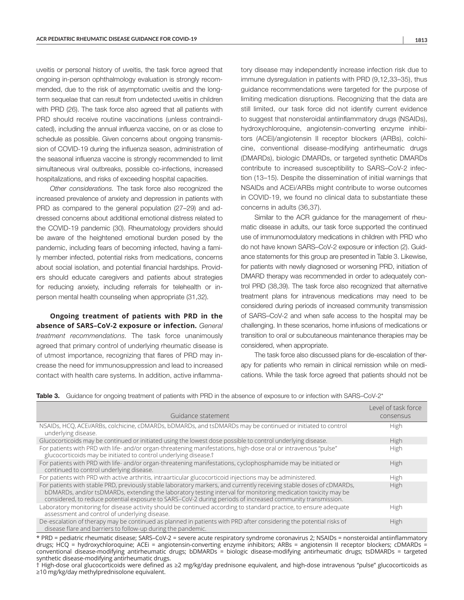uveitis or personal history of uveitis, the task force agreed that ongoing in-person ophthalmology evaluation is strongly recommended, due to the risk of asymptomatic uveitis and the longterm sequelae that can result from undetected uveitis in children with PRD (26). The task force also agreed that all patients with PRD should receive routine vaccinations (unless contraindicated), including the annual influenza vaccine, on or as close to schedule as possible. Given concerns about ongoing transmission of COVID-19 during the influenza season, administration of the seasonal influenza vaccine is strongly recommended to limit simultaneous viral outbreaks, possible co-infections, increased hospitalizations, and risks of exceeding hospital capacities.

*Other considerations.* The task force also recognized the increased prevalence of anxiety and depression in patients with PRD as compared to the general population (27–29) and addressed concerns about additional emotional distress related to the COVID-19 pandemic (30). Rheumatology providers should be aware of the heightened emotional burden posed by the pandemic, including fears of becoming infected, having a family member infected, potential risks from medications, concerns about social isolation, and potential financial hardships. Providers should educate caregivers and patients about strategies for reducing anxiety, including referrals for telehealth or inperson mental health counseling when appropriate (31,32).

**Ongoing treatment of patients with PRD in the absence of SARS–CoV-2 exposure or infection.** *General treatment recommendations.* The task force unanimously agreed that primary control of underlying rheumatic disease is of utmost importance, recognizing that flares of PRD may increase the need for immunosuppression and lead to increased contact with health care systems. In addition, active inflamma-

tory disease may independently increase infection risk due to immune dysregulation in patients with PRD (9,12,33–35), thus guidance recommendations were targeted for the purpose of limiting medication disruptions. Recognizing that the data are still limited, our task force did not identify current evidence to suggest that nonsteroidal antiinflammatory drugs (NSAIDs), hydroxychloroquine, angiotensin-converting enzyme inhibitors (ACEi)/angiotensin II receptor blockers (ARBs), colchicine, conventional disease-modifying antirheumatic drugs (DMARDs), biologic DMARDs, or targeted synthetic DMARDs contribute to increased susceptibility to SARS–CoV-2 infection (13–15). Despite the dissemination of initial warnings that NSAIDs and ACEi/ARBs might contribute to worse outcomes in COVID-19, we found no clinical data to substantiate these concerns in adults (36,37).

Similar to the ACR guidance for the management of rheumatic disease in adults, our task force supported the continued use of immunomodulatory medications in children with PRD who do not have known SARS–CoV-2 exposure or infection (2). Guidance statements for this group are presented in Table 3. Likewise, for patients with newly diagnosed or worsening PRD, initiation of DMARD therapy was recommended in order to adequately control PRD (38,39). The task force also recognized that alternative treatment plans for intravenous medications may need to be considered during periods of increased community transmission of SARS–CoV-2 and when safe access to the hospital may be challenging. In these scenarios, home infusions of medications or transition to oral or subcutaneous maintenance therapies may be considered, when appropriate.

The task force also discussed plans for de-escalation of therapy for patients who remain in clinical remission while on medications. While the task force agreed that patients should not be

|  |  |  |  |  |  |  | <b>Table 3.</b> Guidance for ongoing treatment of patients with PRD in the absence of exposure to or infection with SARS-CoV-2* |
|--|--|--|--|--|--|--|---------------------------------------------------------------------------------------------------------------------------------|
|--|--|--|--|--|--|--|---------------------------------------------------------------------------------------------------------------------------------|

| Guidance statement                                                                                                                                                                                                                                                                                                                                  | Level of task force<br>consensus |
|-----------------------------------------------------------------------------------------------------------------------------------------------------------------------------------------------------------------------------------------------------------------------------------------------------------------------------------------------------|----------------------------------|
| NSAIDs, HCQ, ACEI/ARBs, colchicine, cDMARDs, bDMARDs, and tsDMARDs may be continued or initiated to control<br>underlying disease.                                                                                                                                                                                                                  | High                             |
| Glucocorticoids may be continued or initiated using the lowest dose possible to control underlying disease.                                                                                                                                                                                                                                         | High                             |
| For patients with PRD with life- and/or organ-threatening manifestations, high-dose oral or intravenous "pulse"<br>glucocorticoids may be initiated to control underlying disease. <sup>†</sup>                                                                                                                                                     | High                             |
| For patients with PRD with life- and/or organ-threatening manifestations, cyclophosphamide may be initiated or<br>continued to control underlying disease.                                                                                                                                                                                          | High                             |
| For patients with PRD with active arthritis, intraarticular glucocorticoid injections may be administered.                                                                                                                                                                                                                                          | High                             |
| For patients with stable PRD, previously stable laboratory markers, and currently receiving stable doses of cDMARDs,<br>bDMARDs, and/or tsDMARDs, extending the laboratory testing interval for monitoring medication toxicity may be<br>considered, to reduce potential exposure to SARS-CoV-2 during periods of increased community transmission. | High                             |
| Laboratory monitoring for disease activity should be continued according to standard practice, to ensure adequate<br>assessment and control of underlying disease.                                                                                                                                                                                  | High                             |
| De-escalation of therapy may be continued as planned in patients with PRD after considering the potential risks of<br>disease flare and barriers to follow-up during the pandemic.                                                                                                                                                                  | High                             |

\* PRD = pediatric rheumatic disease; SARS–CoV-2 = severe acute respiratory syndrome coronavirus 2; NSAIDs = nonsteroidal antiinflammatory drugs; HCQ = hydroxychloroquine; ACEi = angiotensin-converting enzyme inhibitors; ARBs = angiotensin II receptor blockers; cDMARDs = conventional disease-modifying antirheumatic drugs; bDMARDs = biologic disease-modifying antirheumatic drugs; tsDMARDs = targeted synthetic disease-modifying antirheumatic drugs.

† High-dose oral glucocorticoids were defined as ≥2 mg/kg/day prednisone equivalent, and high-dose intravenous "pulse" glucocorticoids as ≥10 mg/kg/day methylprednisolone equivalent.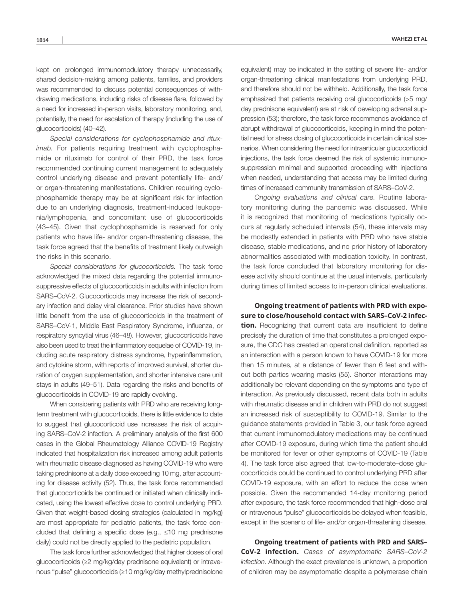kept on prolonged immunomodulatory therapy unnecessarily, shared decision-making among patients, families, and providers was recommended to discuss potential consequences of withdrawing medications, including risks of disease flare, followed by a need for increased in-person visits, laboratory monitoring, and, potentially, the need for escalation of therapy (including the use of glucocorticoids) (40–42).

*Special considerations for cyclophosphamide and rituximab.* For patients requiring treatment with cyclophosphamide or rituximab for control of their PRD, the task force recommended continuing current management to adequately control underlying disease and prevent potentially life- and/ or organ-threatening manifestations. Children requiring cyclophosphamide therapy may be at significant risk for infection due to an underlying diagnosis, treatment-induced leukopenia/lymphopenia, and concomitant use of glucocorticoids (43–45). Given that cyclophosphamide is reserved for only patients who have life- and/or organ-threatening disease, the task force agreed that the benefits of treatment likely outweigh the risks in this scenario.

*Special considerations for glucocorticoids.* The task force acknowledged the mixed data regarding the potential immunosuppressive effects of glucocorticoids in adults with infection from SARS–CoV-2. Glucocorticoids may increase the risk of secondary infection and delay viral clearance. Prior studies have shown little benefit from the use of glucocorticoids in the treatment of SARS–CoV-1, Middle East Respiratory Syndrome, influenza, or respiratory syncytial virus (46–48). However, glucocorticoids have also been used to treat the inflammatory sequelae of COVID-19, including acute respiratory distress syndrome, hyperinflammation, and cytokine storm, with reports of improved survival, shorter duration of oxygen supplementation, and shorter intensive care unit stays in adults (49–51). Data regarding the risks and benefits of glucocorticoids in COVID-19 are rapidly evolving.

When considering patients with PRD who are receiving longterm treatment with glucocorticoids, there is little evidence to date to suggest that glucocorticoid use increases the risk of acquiring SARS–CoV-2 infection. A preliminary analysis of the first 600 cases in the Global Rheumatology Alliance COVID-19 Registry indicated that hospitalization risk increased among adult patients with rheumatic disease diagnosed as having COVID-19 who were taking prednisone at a daily dose exceeding 10 mg, after accounting for disease activity (52). Thus, the task force recommended that glucocorticoids be continued or initiated when clinically indicated, using the lowest effective dose to control underlying PRD. Given that weight-based dosing strategies (calculated in mg/kg) are most appropriate for pediatric patients, the task force concluded that defining a specific dose (e.g., ≤10 mg prednisone daily) could not be directly applied to the pediatric population.

The task force further acknowledged that higher doses of oral glucocorticoids (≥2 mg/kg/day prednisone equivalent) or intravenous "pulse" glucocorticoids (≥10 mg/kg/day methylprednisolone equivalent) may be indicated in the setting of severe life- and/or organ-threatening clinical manifestations from underlying PRD, and therefore should not be withheld. Additionally, the task force emphasized that patients receiving oral glucocorticoids (>5 mg/ day prednisone equivalent) are at risk of developing adrenal suppression (53); therefore, the task force recommends avoidance of abrupt withdrawal of glucocorticoids, keeping in mind the potential need for stress dosing of glucocorticoids in certain clinical scenarios. When considering the need for intraarticular glucocorticoid injections, the task force deemed the risk of systemic immunosuppression minimal and supported proceeding with injections when needed, understanding that access may be limited during times of increased community transmission of SARS–CoV-2.

*Ongoing evaluations and clinical care.* Routine laboratory monitoring during the pandemic was discussed. While it is recognized that monitoring of medications typically occurs at regularly scheduled intervals (54), these intervals may be modestly extended in patients with PRD who have stable disease, stable medications, and no prior history of laboratory abnormalities associated with medication toxicity. In contrast, the task force concluded that laboratory monitoring for disease activity should continue at the usual intervals, particularly during times of limited access to in-person clinical evaluations.

**Ongoing treatment of patients with PRD with exposure to close/household contact with SARS–CoV-2 infection.** Recognizing that current data are insufficient to define precisely the duration of time that constitutes a prolonged exposure, the CDC has created an operational definition, reported as an interaction with a person known to have COVID-19 for more than 15 minutes, at a distance of fewer than 6 feet and without both parties wearing masks (55). Shorter interactions may additionally be relevant depending on the symptoms and type of interaction. As previously discussed, recent data both in adults with rheumatic disease and in children with PRD do not suggest an increased risk of susceptibility to COVID-19. Similar to the guidance statements provided in Table 3, our task force agreed that current immunomodulatory medications may be continued after COVID-19 exposure, during which time the patient should be monitored for fever or other symptoms of COVID-19 (Table 4). The task force also agreed that low-to-moderate–dose glucocorticoids could be continued to control underlying PRD after COVID-19 exposure, with an effort to reduce the dose when possible. Given the recommended 14-day monitoring period after exposure, the task force recommended that high-dose oral or intravenous "pulse" glucocorticoids be delayed when feasible, except in the scenario of life- and/or organ-threatening disease.

**Ongoing treatment of patients with PRD and SARS– CoV-2 infection.** *Cases of asymptomatic SARS–CoV-2 infection*. Although the exact prevalence is unknown, a proportion of children may be asymptomatic despite a polymerase chain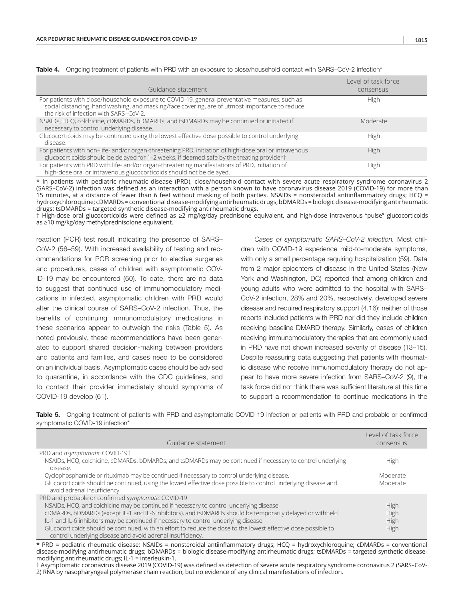| Guidance statement                                                                                                                                                                                                                         | Level of task force<br>consensus |
|--------------------------------------------------------------------------------------------------------------------------------------------------------------------------------------------------------------------------------------------|----------------------------------|
| For patients with close/household exposure to COVID-19, general preventative measures, such as<br>social distancing, hand washing, and masking/face covering, are of utmost importance to reduce<br>the risk of infection with SARS-CoV-2. | High                             |
| NSAIDs, HCO, colchicine, cDMARDs, bDMARDs, and tsDMARDs may be continued or initiated if<br>necessary to control underlying disease.                                                                                                       | Moderate                         |
| Glucocorticoids may be continued using the lowest effective dose possible to control underlying<br>disease.                                                                                                                                | High                             |
| For patients with non-life- and/or organ-threatening PRD, initiation of high-dose oral or intravenous<br>glucocorticoids should be delayed for 1–2 weeks, if deemed safe by the treating provider. <sup>†</sup>                            | High                             |
| For patients with PRD with life- and/or organ-threatening manifestations of PRD, initiation of<br>high-dose oral or intravenous glucocorticoids should not be delayed. <sup>†</sup>                                                        | High                             |

Table 4. Ongoing treatment of patients with PRD with an exposure to close/household contact with SARS–CoV-2 infection\*

\* In patients with pediatric rheumatic disease (PRD), close/household contact with severe acute respiratory syndrome coronavirus 2 (SARS–CoV-2) infection was defined as an interaction with a person known to have coronavirus disease 2019 (COVID-19) for more than 15 minutes, at a distance of fewer than 6 feet without masking of both parties. NSAIDs = nonsteroidal antiinflammatory drugs; HCQ = hydroxychloroquine; cDMARDs = conventional disease-modifying antirheumatic drugs; bDMARDs = biologic disease-modifying antirheumatic drugs; tsDMARDs = targeted synthetic disease-modifying antirheumatic drugs.

† High-dose oral glucocorticoids were defined as ≥2 mg/kg/day prednisone equivalent, and high-dose intravenous "pulse" glucocorticoids as ≥10 mg/kg/day methylprednisolone equivalent.

reaction (PCR) test result indicating the presence of SARS– CoV-2 (56–59). With increased availability of testing and recommendations for PCR screening prior to elective surgeries and procedures, cases of children with asymptomatic COV-ID-19 may be encountered (60). To date, there are no data to suggest that continued use of immunomodulatory medications in infected, asymptomatic children with PRD would alter the clinical course of SARS–CoV-2 infection. Thus, the benefits of continuing immunomodulatory medications in these scenarios appear to outweigh the risks (Table 5). As noted previously, these recommendations have been generated to support shared decision-making between providers and patients and families, and cases need to be considered on an individual basis. Asymptomatic cases should be advised to quarantine, in accordance with the CDC guidelines, and to contact their provider immediately should symptoms of COVID-19 develop (61).

*Cases of symptomatic SARS–CoV-2 infection.* Most children with COVID-19 experience mild-to-moderate symptoms, with only a small percentage requiring hospitalization (59). Data from 2 major epicenters of disease in the United States (New York and Washington, DC) reported that among children and young adults who were admitted to the hospital with SARS– CoV-2 infection, 28% and 20%, respectively, developed severe disease and required respiratory support (4,16); neither of those reports included patients with PRD nor did they include children receiving baseline DMARD therapy. Similarly, cases of children receiving immunomodulatory therapies that are commonly used in PRD have not shown increased severity of disease (13–15). Despite reassuring data suggesting that patients with rheumatic disease who receive immunomodulatory therapy do not appear to have more severe infection from SARS–CoV-2 (9), the task force did not think there was sufficient literature at this time to support a recommendation to continue medications in the

Table 5. Ongoing treatment of patients with PRD and asymptomatic COVID-19 infection or patients with PRD and probable or confirmed symptomatic COVID-19 infection\*

| Guidance statement                                                                                                                                                                                                                                                                                                                                                                                                                                                                                                                       | Level of task force<br>consensus |
|------------------------------------------------------------------------------------------------------------------------------------------------------------------------------------------------------------------------------------------------------------------------------------------------------------------------------------------------------------------------------------------------------------------------------------------------------------------------------------------------------------------------------------------|----------------------------------|
| PRD and asymptomatic COVID-19t<br>NSAIDs, HCQ, colchicine, cDMARDs, bDMARDs, and tsDMARDs may be continued if necessary to control underlying                                                                                                                                                                                                                                                                                                                                                                                            | High                             |
| disease.<br>Cyclophosphamide or rituximab may be continued if necessary to control underlying disease.<br>Glucocorticoids should be continued, using the lowest effective dose possible to control underlying disease and<br>avoid adrenal insufficiency.                                                                                                                                                                                                                                                                                | Moderate<br>Moderate             |
| PRD and probable or confirmed symptomatic COVID-19<br>NSAIDs, HCQ, and colchicine may be continued if necessary to control underlying disease.<br>cDMARDs, bDMARDs (except IL-1 and IL-6 inhibitors), and tsDMARDs should be temporarily delayed or withheld.<br>IL-1 and IL-6 inhibitors may be continued if necessary to control underlying disease.<br>Glucocorticoids should be continued, with an effort to reduce the dose to the lowest effective dose possible to<br>control underlying disease and avoid adrenal insufficiency. | High<br>High<br>High<br>High     |

\* PRD = pediatric rheumatic disease; NSAIDs = nonsteroidal antiinflammatory drugs; HCQ = hydroxychloroquine; cDMARDs = conventional disease-modifying antirheumatic drugs; bDMARDs = biologic disease-modifying antirheumatic drugs; tsDMARDs = targeted synthetic diseasemodifying antirheumatic drugs; IL-1 = interleukin-1.

† Asymptomatic coronavirus disease 2019 (COVID-19) was defined as detection of severe acute respiratory syndrome coronavirus 2 (SARS–CoV-2) RNA by nasopharyngeal polymerase chain reaction, but no evidence of any clinical manifestations of infection.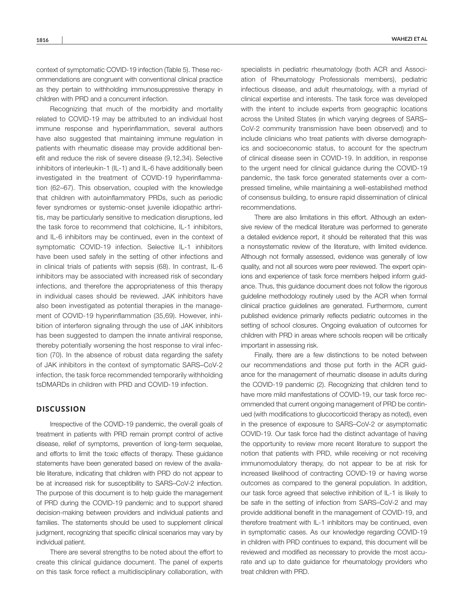context of symptomatic COVID-19 infection (Table 5). These recommendations are congruent with conventional clinical practice as they pertain to withholding immunosuppressive therapy in children with PRD and a concurrent infection.

Recognizing that much of the morbidity and mortality related to COVID-19 may be attributed to an individual host immune response and hyperinflammation, several authors have also suggested that maintaining immune regulation in patients with rheumatic disease may provide additional benefit and reduce the risk of severe disease (9,12,34). Selective inhibitors of interleukin-1 (IL-1) and IL-6 have additionally been investigated in the treatment of COVID-19 hyperinflammation (62–67). This observation, coupled with the knowledge that children with autoinflammatory PRDs, such as periodic fever syndromes or systemic-onset juvenile idiopathic arthritis, may be particularly sensitive to medication disruptions, led the task force to recommend that colchicine, IL-1 inhibitors, and IL-6 inhibitors may be continued, even in the context of symptomatic COVID-19 infection. Selective IL-1 inhibitors have been used safely in the setting of other infections and in clinical trials of patients with sepsis (68). In contrast, IL-6 inhibitors may be associated with increased risk of secondary infections, and therefore the appropriateness of this therapy in individual cases should be reviewed. JAK inhibitors have also been investigated as potential therapies in the management of COVID-19 hyperinflammation (35,69). However, inhibition of interferon signaling through the use of JAK inhibitors has been suggested to dampen the innate antiviral response, thereby potentially worsening the host response to viral infection (70). In the absence of robust data regarding the safety of JAK inhibitors in the context of symptomatic SARS–CoV-2 infection, the task force recommended temporarily withholding tsDMARDs in children with PRD and COVID-19 infection.

### **DISCUSSION**

Irrespective of the COVID-19 pandemic, the overall goals of treatment in patients with PRD remain prompt control of active disease, relief of symptoms, prevention of long-term sequelae, and efforts to limit the toxic effects of therapy. These guidance statements have been generated based on review of the available literature, indicating that children with PRD do not appear to be at increased risk for susceptibility to SARS–CoV-2 infection. The purpose of this document is to help guide the management of PRD during the COVID-19 pandemic and to support shared decision-making between providers and individual patients and families. The statements should be used to supplement clinical judgment, recognizing that specific clinical scenarios may vary by individual patient.

There are several strengths to be noted about the effort to create this clinical guidance document. The panel of experts on this task force reflect a multidisciplinary collaboration, with

specialists in pediatric rheumatology (both ACR and Association of Rheumatology Professionals members), pediatric infectious disease, and adult rheumatology, with a myriad of clinical expertise and interests. The task force was developed with the intent to include experts from geographic locations across the United States (in which varying degrees of SARS– CoV-2 community transmission have been observed) and to include clinicians who treat patients with diverse demographics and socioeconomic status, to account for the spectrum of clinical disease seen in COVID-19. In addition, in response to the urgent need for clinical guidance during the COVID-19 pandemic, the task force generated statements over a compressed timeline, while maintaining a well-established method of consensus building, to ensure rapid dissemination of clinical recommendations.

There are also limitations in this effort. Although an extensive review of the medical literature was performed to generate a detailed evidence report, it should be reiterated that this was a nonsystematic review of the literature, with limited evidence. Although not formally assessed, evidence was generally of low quality, and not all sources were peer reviewed. The expert opinions and experience of task force members helped inform guidance. Thus, this guidance document does not follow the rigorous guideline methodology routinely used by the ACR when formal clinical practice guidelines are generated. Furthermore, current published evidence primarily reflects pediatric outcomes in the setting of school closures. Ongoing evaluation of outcomes for children with PRD in areas where schools reopen will be critically important in assessing risk.

Finally, there are a few distinctions to be noted between our recommendations and those put forth in the ACR guidance for the management of rheumatic disease in adults during the COVID-19 pandemic (2). Recognizing that children tend to have more mild manifestations of COVID-19, our task force recommended that current ongoing management of PRD be continued (with modifications to glucocorticoid therapy as noted), even in the presence of exposure to SARS–CoV-2 or asymptomatic COVID-19. Our task force had the distinct advantage of having the opportunity to review more recent literature to support the notion that patients with PRD, while receiving or not receiving immunomodulatory therapy, do not appear to be at risk for increased likelihood of contracting COVID-19 or having worse outcomes as compared to the general population. In addition, our task force agreed that selective inhibition of IL-1 is likely to be safe in the setting of infection from SARS–CoV-2 and may provide additional benefit in the management of COVID-19, and therefore treatment with IL-1 inhibitors may be continued, even in symptomatic cases. As our knowledge regarding COVID-19 in children with PRD continues to expand, this document will be reviewed and modified as necessary to provide the most accurate and up to date guidance for rheumatology providers who treat children with PRD.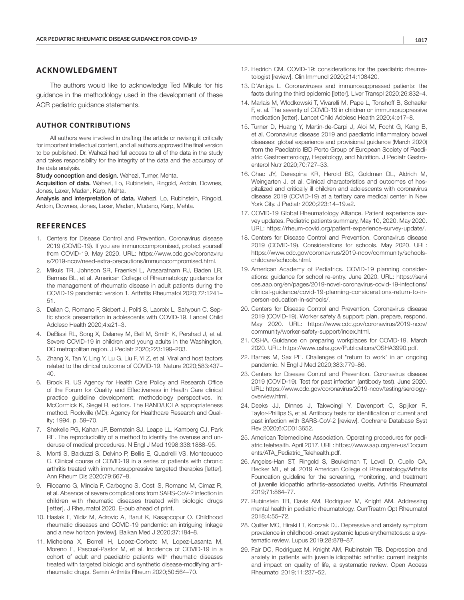#### **ACKNOWLEDGMENT**

The authors would like to acknowledge Ted Mikuls for his guidance in the methodology used in the development of these ACR pediatric guidance statements.

#### **AUTHOR CONTRIBUTIONS**

All authors were involved in drafting the article or revising it critically for important intellectual content, and all authors approved the final version to be published. Dr. Wahezi had full access to all of the data in the study and takes responsibility for the integrity of the data and the accuracy of the data analysis.

Study conception and design. Wahezi, Turner, Mehta.

Acquisition of data. Wahezi, Lo, Rubinstein, Ringold, Ardoin, Downes, Jones, Laxer, Madan, Karp, Mehta.

Analysis and interpretation of data. Wahezi, Lo, Rubinstein, Ringold, Ardoin, Downes, Jones, Laxer, Madan, Mudano, Karp, Mehta.

#### **REFERENCES**

- 1. Centers for Disease Control and Prevention. Coronavirus disease 2019 (COVID-19). If you are immunocompromised, protect yourself from COVID-19. May 2020. URL: [https://www.cdc.gov/coronaviru](https://www.cdc.gov/coronavirus/2019-ncov/need-extra-precautions/immunocompromised.html) [s/2019-ncov/need-extra-precautions/immunocompromised.html.](https://www.cdc.gov/coronavirus/2019-ncov/need-extra-precautions/immunocompromised.html)
- 2. Mikuls TR, Johnson SR, Fraenkel L, Arasaratnam RJ, Baden LR, Bermas BL, et al. American College of Rheumatology guidance for the management of rheumatic disease in adult patients during the COVID-19 pandemic: version 1. Arthritis Rheumatol 2020;72:1241– 51.
- 3. Dallan C, Romano F, Siebert J, Politi S, Lacroix L, Sahyoun C. Septic shock presentation in adolescents with COVID-19. Lancet Child Adolesc Health 2020;4:e21–3.
- 4. DeBiasi RL, Song X, Delaney M, Bell M, Smith K, Pershad J, et al. Severe COVID-19 in children and young adults in the Washington, DC metropolitan region. J Pediatr 2020;223:199–203.
- 5. Zhang X, Tan Y, Ling Y, Lu G, Liu F, Yi Z, et al. Viral and host factors related to the clinical outcome of COVID-19. Nature 2020;583:437– 40.
- 6. Brook R. US Agency for Health Care Policy and Research Office of the Forum for Quality and Effectiveness in Health Care clinical practice guideline development: methodology perspectives. In: McCormick K, Siegel R, editors. The RAND/UCLA appropriateness method. Rockville (MD): Agency for Healthcare Research and Quality; 1994. p. 59–70.
- 7. Shekelle PG, Kahan JP, Bernstein SJ, Leape LL, Kamberg CJ, Park RE. The reproducibility of a method to identify the overuse and underuse of medical procedures. N Engl J Med 1998;338:1888–95.
- 8. Monti S, Balduzzi S, Delvino P, Bellis E, Quadrelli VS, Montecucco C. Clinical course of COVID-19 in a series of patients with chronic arthritis treated with immunosuppressive targeted therapies [letter]. Ann Rheum Dis 2020;79:667–8.
- 9. Filocamo G, Minoia F, Carbogno S, Costi S, Romano M, Cimaz R, et al. Absence of severe complications from SARS-CoV-2 infection in children with rheumatic diseases treated with biologic drugs [letter]. J Rheumatol 2020. E-pub ahead of print.
- 10. Haslak F, Yildiz M, Adrovic A, Barut K, Kasapcopur O. Childhood rheumatic diseases and COVID-19 pandemic: an intriguing linkage and a new horizon [review]. Balkan Med J 2020;37:184–8.
- 11. Michelena X, Borrell H, Lopez-Corbeto M, Lopez-Lasanta M, Moreno E, Pascual-Pastor M, et al. Incidence of COVID-19 in a cohort of adult and paediatric patients with rheumatic diseases treated with targeted biologic and synthetic disease-modifying antirheumatic drugs. Semin Arthritis Rheum 2020;50:564–70.
- 12. Hedrich CM. COVID-19: considerations for the paediatric rheumatologist [review]. Clin Immunol 2020;214:108420.
- 13. D'Antiga L. Coronaviruses and immunosuppressed patients: the facts during the third epidemic [letter]. Liver Transpl 2020;26:832–4.
- 14. Marlais M, Wlodkowski T, Vivarelli M, Pape L, Tonshoff B, Schaefer F, et al. The severity of COVID-19 in children on immunosuppressive medication [letter]. Lancet Child Adolesc Health 2020;4:e17–8.
- 15. Turner D, Huang Y, Martin-de-Carpi J, Aloi M, Focht G, Kang B, et al. Coronavirus disease 2019 and paediatric inflammatory bowel diseases: global experience and provisional guidance (March 2020) from the Paediatric IBD Porto Group of European Society of Paediatric Gastroenterology, Hepatology, and Nutrition. J Pediatr Gastroenterol Nutr 2020;70:727–33.
- 16. Chao JY, Derespina KR, Herold BC, Goldman DL, Aldrich M, Weingarten J, et al. Clinical characteristics and outcomes of hospitalized and critically ill children and adolescents with coronavirus disease 2019 (COVID-19) at a tertiary care medical center in New York City. J Pediatr 2020;223:14–19.e2.
- 17. COVID-19 Global Rheumatology Alliance. Patient experience survey updates. Pediatric patients summary, May 10, 2020. May 2020. URL: <https://rheum-covid.org/patient-experience-survey-update/>.
- 18. Centers for Disease Control and Prevention. Coronavirus disease 2019 (COVID-19). Considerations for schools. May 2020. URL: [https://www.cdc.gov/coronavirus/2019-ncov/community/schools](https://www.cdc.gov/coronavirus/2019-ncov/community/schools-childcare/schools.html)[childcare/schools.html.](https://www.cdc.gov/coronavirus/2019-ncov/community/schools-childcare/schools.html)
- 19. American Academy of Pediatrics. COVID-19 planning considerations: guidance for school re-entry. June 2020. URL: [https://servi](https://services.aap.org/en/pages/2019-novel-coronavirus-covid-19-infections/clinical-guidance/covid-19-planning-considerations-return-to-in-person-education-in-schools/) [ces.aap.org/en/pages/2019-novel-coronavirus-covid-19-infections/](https://services.aap.org/en/pages/2019-novel-coronavirus-covid-19-infections/clinical-guidance/covid-19-planning-considerations-return-to-in-person-education-in-schools/) [clinical-guidance/covid-19-planning-considerations-return-to-in](https://services.aap.org/en/pages/2019-novel-coronavirus-covid-19-infections/clinical-guidance/covid-19-planning-considerations-return-to-in-person-education-in-schools/)[person-education-in-schools/](https://services.aap.org/en/pages/2019-novel-coronavirus-covid-19-infections/clinical-guidance/covid-19-planning-considerations-return-to-in-person-education-in-schools/).
- 20. Centers for Disease Control and Prevention. Coronavirus disease 2019 (COVID-19). Worker safety & support: plan, prepare, respond. May 2020. URL: [https://www.cdc.gov/coronavirus/2019-ncov/](https://www.cdc.gov/coronavirus/2019-ncov/community/worker-safety-support/index.html) [community/worker-safety-support/index.html.](https://www.cdc.gov/coronavirus/2019-ncov/community/worker-safety-support/index.html)
- 21. OSHA. Guidance on preparing workplaces for COVID-19. March 2020. URL: [https://www.osha.gov/Publications/OSHA3990.pdf.](https://www.osha.gov/Publications/OSHA3990.pdf)
- 22. Barnes M, Sax PE. Challenges of "return to work" in an ongoing pandemic. N Engl J Med 2020;383:779–86.
- 23. Centers for Disease Control and Prevention. Coronavirus disease 2019 (COVID-19). Test for past infection (antibody test). June 2020. URL: [https://www.cdc.gov/coronavirus/2019-ncov/testing/serology](https://www.cdc.gov/coronavirus/2019-ncov/testing/serology-overview.html)[overview.html](https://www.cdc.gov/coronavirus/2019-ncov/testing/serology-overview.html).
- 24. Deeks JJ, Dinnes J, Takwoingi Y, Davenport C, Spijker R, Taylor-Phillips S, et al. Antibody tests for identification of current and past infection with SARS-CoV-2 [review]. Cochrane Database Syst Rev 2020;6:CD013652.
- 25. American Telemedicine Association. Operating procedures for pediatric telehealth. April 2017. URL: [https://www.aap.org/en-us/Docum](https://www.aap.org/en-us/Documents/ATA_Pediatric_Telehealth.pdf) [ents/ATA\\_Pediatric\\_Telehealth.pdf](https://www.aap.org/en-us/Documents/ATA_Pediatric_Telehealth.pdf).
- 26. Angeles-Han ST, Ringold S, Beukelman T, Lovell D, Cuello CA, Becker ML, et al. 2019 American College of Rheumatology/Arthritis Foundation guideline for the screening, monitoring, and treatment of juvenile idiopathic arthritis–associated uveitis. Arthritis Rheumatol 2019;71:864–77.
- 27. Rubinstein TB, Davis AM, Rodriguez M, Knight AM. Addressing mental health in pediatric rheumatology. CurrTreatm Opt Rheumatol 2018;4:55–72.
- 28. Quilter MC, Hiraki LT, Korczak DJ. Depressive and anxiety symptom prevalence in childhood-onset systemic lupus erythematosus: a systematic review. Lupus 2019;28:878–87.
- 29. Fair DC, Rodriguez M, Knight AM, Rubinstein TB. Depression and anxiety in patients with juvenile idiopathic arthritis: current insights and impact on quality of life, a systematic review. Open Access Rheumatol 2019;11:237–52.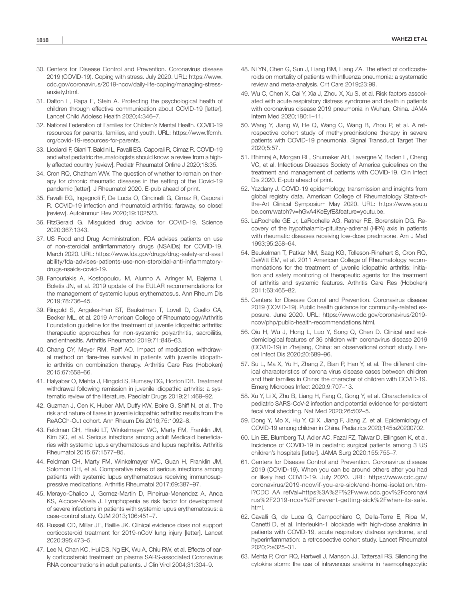- 30. Centers for Disease Control and Prevention. Coronavirus disease 2019 (COVID-19). Coping with stress. July 2020. URL: [https://www.](https://www.cdc.gov/coronavirus/2019-ncov/daily-life-coping/managing-stress-anxiety.html) [cdc.gov/coronavirus/2019-ncov/daily-life-coping/managing-stress](https://www.cdc.gov/coronavirus/2019-ncov/daily-life-coping/managing-stress-anxiety.html)[anxiety.html](https://www.cdc.gov/coronavirus/2019-ncov/daily-life-coping/managing-stress-anxiety.html).
- 31. Dalton L, Rapa E, Stein A. Protecting the psychological health of children through effective communication about COVID-19 [letter]. Lancet Child Adolesc Health 2020;4:346–7.
- 32. National Federation of Families for Children's Mental Health. COVID-19 resources for parents, families, and youth. URL: [https://www.ffcmh.](https://www.ffcmh.org/covid-19-resources-for-parents) [org/covid-19-resources-for-parents](https://www.ffcmh.org/covid-19-resources-for-parents).
- 33. Licciardi F, Giani T, Baldini L, Favalli EG, Caporali R, Cimaz R. COVID-19 and what pediatric rheumatologists should know: a review from a highly affected country [review]. Pediatr Rheumatol Online J 2020;18:35.
- 34. Cron RQ, Chatham WW. The question of whether to remain on therapy for chronic rheumatic diseases in the setting of the Covid-19 pandemic [letter]. J Rheumatol 2020. E-pub ahead of print.
- 35. Favalli EG, Ingegnoli F, De Lucia O, Cincinelli G, Cimaz R, Caporali R. COVID-19 infection and rheumatoid arthritis: faraway, so close! [review]. Autoimmun Rev 2020;19:102523.
- 36. FitzGerald G. Misguided drug advice for COVID-19. Science 2020;367:1343.
- 37. US Food and Drug Administration. FDA advises patients on use of non-steroidal antiinflammatory drugs (NSAIDs) for COVID-19. March 2020. URL: [https://www.fda.gov/drugs/drug-safety-and-avail](https://www.fda.gov/drugs/drug-safety-and-availability/fda-advises-patients-use-non-steroidal-anti-inflammatory-drugs-nsaids-covid-19) [ability/fda-advises-patients-use-non-steroidal-anti-inflammatory](https://www.fda.gov/drugs/drug-safety-and-availability/fda-advises-patients-use-non-steroidal-anti-inflammatory-drugs-nsaids-covid-19)[drugs-nsaids-covid-19.](https://www.fda.gov/drugs/drug-safety-and-availability/fda-advises-patients-use-non-steroidal-anti-inflammatory-drugs-nsaids-covid-19)
- 38. Fanouriakis A, Kostopoulou M, Alunno A, Aringer M, Bajema I, Boletis JN, et al. 2019 update of the EULAR recommendations for the management of systemic lupus erythematosus. Ann Rheum Dis 2019;78:736–45.
- 39. Ringold S, Angeles-Han ST, Beukelman T, Lovell D, Cuello CA, Becker ML, et al. 2019 American College of Rheumatology/Arthritis Foundation guideline for the treatment of juvenile idiopathic arthritis: therapeutic approaches for non-systemic polyarthritis, sacroiliitis, and enthesitis. Arthritis Rheumatol 2019;71:846–63.
- 40. Chang CY, Meyer RM, Reiff AO. Impact of medication withdrawal method on flare-free survival in patients with juvenile idiopathic arthritis on combination therapy. Arthritis Care Res (Hoboken) 2015;67:658–66.
- 41. Halyabar O, Mehta J, Ringold S, Rumsey DG, Horton DB. Treatment withdrawal following remission in juvenile idiopathic arthritis: a systematic review of the literature. Paediatr Drugs 2019;21:469–92.
- 42. Guzman J, Oen K, Huber AM, Duffy KW, Boire G, Shiff N, et al. The risk and nature of flares in juvenile idiopathic arthritis: results from the ReACCh-Out cohort. Ann Rheum Dis 2016;75:1092–8.
- 43. Feldman CH, Hiraki LT, Winkelmayer WC, Marty FM, Franklin JM, Kim SC, et al. Serious infections among adult Medicaid beneficiaries with systemic lupus erythematosus and lupus nephritis. Arthritis Rheumatol 2015;67:1577–85.
- 44. Feldman CH, Marty FM, Winkelmayer WC, Guan H, Franklin JM, Solomon DH, et al. Comparative rates of serious infections among patients with systemic lupus erythematosus receiving immunosuppressive medications. Arthritis Rheumatol 2017;69:387–97.
- 45. Merayo-Chalico J, Gomez-Martin D, Pineirua-Menendez A, Anda KS, Alcocer-Varela J. Lymphopenia as risk factor for development of severe infections in patients with systemic lupus erythematosus: a case-control study. QJM 2013;106:451–7.
- 46. Russell CD, Millar JE, Baillie JK. Clinical evidence does not support corticosteroid treatment for 2019-nCoV lung injury [letter]. Lancet 2020;395:473–5.
- 47. Lee N, Chan KC, Hui DS, Ng EK, Wu A, Chiu RW, et al. Effects of early corticosteroid treatment on plasma SARS-associated Coronavirus RNA concentrations in adult patients. J Clin Virol 2004;31:304–9.
- 48. Ni YN, Chen G, Sun J, Liang BM, Liang ZA. The effect of corticosteroids on mortality of patients with influenza pneumonia: a systematic review and meta-analysis. Crit Care 2019;23:99.
- 49. Wu C, Chen X, Cai Y, Xia J, Zhou X, Xu S, et al. Risk factors associated with acute respiratory distress syndrome and death in patients with coronavirus disease 2019 pneumonia in Wuhan, China. JAMA Intern Med 2020;180:1–11.
- 50. Wang Y, Jiang W, He Q, Wang C, Wang B, Zhou P, et al. A retrospective cohort study of methylprednisolone therapy in severe patients with COVID-19 pneumonia. Signal Transduct Target Ther 2020;5:57.
- 51. Bhimraj A, Morgan RL, Shumaker AH, Lavergne V, Baden L, Cheng VC, et al. Infectious Diseases Society of America guidelines on the treatment and management of patients with COVID-19. Clin Infect Dis 2020. E-pub ahead of print.
- 52. Yazdany J. COVID-19 epidemiology, transmission and insights from global registry data. American College of Rheumatology State-ofthe-Art Clinical Symposium May 2020. URL: [https://www.youtu](https://www.youtube.com/watch?v=hGvA4KeEyfE&feature=youtu.be) [be.com/watch?v=hGvA4KeEyfE&feature=youtu.be.](https://www.youtube.com/watch?v=hGvA4KeEyfE&feature=youtu.be)
- 53. LaRochelle GE Jr, LaRochelle AG, Ratner RE, Borenstein DG. Recovery of the hypothalamic-pituitary-adrenal (HPA) axis in patients with rheumatic diseases receiving low-dose prednisone. Am J Med 1993;95:258–64.
- 54. Beukelman T, Patkar NM, Saag KG, Tolleson-Rinehart S, Cron RQ, DeWitt EM, et al. 2011 American College of Rheumatology recommendations for the treatment of juvenile idiopathic arthritis: initiation and safety monitoring of therapeutic agents for the treatment of arthritis and systemic features. Arthritis Care Res (Hoboken) 2011;63:465–82.
- 55. Centers for Disease Control and Prevention. Coronavirus disease 2019 (COVID-19). Public health guidance for community-related exposure. June 2020. URL: [https://www.cdc.gov/coronavirus/2019](https://www.cdc.gov/coronavirus/2019-ncov/php/public-health-recommendations.html) [ncov/php/public-health-recommendations.html.](https://www.cdc.gov/coronavirus/2019-ncov/php/public-health-recommendations.html)
- 56. Qiu H, Wu J, Hong L, Luo Y, Song Q, Chen D. Clinical and epidemiological features of 36 children with coronavirus disease 2019 (COVID-19) in Zhejiang, China: an observational cohort study. Lancet Infect Dis 2020;20:689–96.
- 57. Su L, Ma X, Yu H, Zhang Z, Bian P, Han Y, et al. The different clinical characteristics of corona virus disease cases between children and their families in China: the character of children with COVID-19. Emerg Microbes Infect 2020;9:707–13.
- 58. Xu Y, Li X, Zhu B, Liang H, Fang C, Gong Y, et al. Characteristics of pediatric SARS-CoV-2 infection and potential evidence for persistent fecal viral shedding. Nat Med 2020;26:502–5.
- 59. Dong Y, Mo X, Hu Y, Qi X, Jiang F, Jiang Z, et al. Epidemiology of COVID-19 among children in China. Pediatrics 2020;145:e20200702.
- 60. Lin EE, Blumberg TJ, Adler AC, Fazal FZ, Talwar D, Ellingsen K, et al. Incidence of COVID-19 in pediatric surgical patients among 3 US children's hospitals [letter]. JAMA Surg 2020;155:755–7.
- 61. Centers for Disease Control and Prevention. Coronavirus disease 2019 (COVID-19). When you can be around others after you had or likely had COVID-19. July 2020. URL: [https://www.cdc.gov/](https://www.cdc.gov/coronavirus/2019-ncov/if-you-are-sick/end-home-isolation.html?CDC_AA_refVal=https%3A%2F%2Fwww.cdc.gov%2Fcoronavirus%2F2019-ncov%2Fprevent-getting-sick%2Fwhen-its-safe.html) [coronavirus/2019-ncov/if-you-are-sick/end-home-isolation.htm](https://www.cdc.gov/coronavirus/2019-ncov/if-you-are-sick/end-home-isolation.html?CDC_AA_refVal=https%3A%2F%2Fwww.cdc.gov%2Fcoronavirus%2F2019-ncov%2Fprevent-getting-sick%2Fwhen-its-safe.html)[l?CDC\\_AA\\_refVal=https%3A%2F%2Fwww.cdc.gov%2Fcoronavi](https://www.cdc.gov/coronavirus/2019-ncov/if-you-are-sick/end-home-isolation.html?CDC_AA_refVal=https%3A%2F%2Fwww.cdc.gov%2Fcoronavirus%2F2019-ncov%2Fprevent-getting-sick%2Fwhen-its-safe.html) [rus%2F2019-ncov%2Fprevent-getting-sick%2Fwhen-its-safe.](https://www.cdc.gov/coronavirus/2019-ncov/if-you-are-sick/end-home-isolation.html?CDC_AA_refVal=https%3A%2F%2Fwww.cdc.gov%2Fcoronavirus%2F2019-ncov%2Fprevent-getting-sick%2Fwhen-its-safe.html) [html](https://www.cdc.gov/coronavirus/2019-ncov/if-you-are-sick/end-home-isolation.html?CDC_AA_refVal=https%3A%2F%2Fwww.cdc.gov%2Fcoronavirus%2F2019-ncov%2Fprevent-getting-sick%2Fwhen-its-safe.html).
- 62. Cavalli G, de Luca G, Campochiaro C, Della-Torre E, Ripa M, Canetti D, et al. Interleukin-1 blockade with high-dose anakinra in patients with COVID-19, acute respiratory distress syndrome, and hyperinflammation: a retrospective cohort study. Lancet Rheumatol 2020;2:e325–31.
- 63. Mehta P, Cron RQ, Hartwell J, Manson JJ, Tattersall RS. Silencing the cytokine storm: the use of intravenous anakinra in haemophagocytic